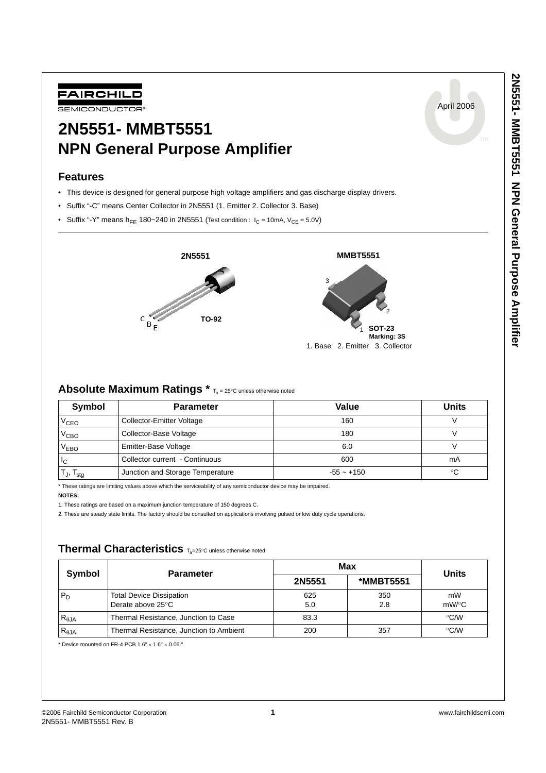April 2006



# **2N5551- MMBT5551 NPN General Purpose Amplifier**

## **Features**

- This device is designed for general purpose high voltage amplifiers and gas discharge display drivers.
- Suffix "-C" means Center Collector in 2N5551 (1. Emitter 2. Collector 3. Base)
- Suffix "-Y" means  $h_{FE}$  180~240 in 2N5551 (Test condition :  $I_C = 10mA$ ,  $V_{CE} = 5.0V$ )



## Absolute Maximum Ratings  $*$  T<sub>a</sub> = 25°C unless otherwise noted

| Symbol                                                 | <b>Parameter</b>                 | Value        | <b>Units</b> |
|--------------------------------------------------------|----------------------------------|--------------|--------------|
| V <sub>CEO</sub>                                       | <b>Collector-Emitter Voltage</b> | 160          |              |
| V <sub>СВО</sub>                                       | Collector-Base Voltage           | 180          |              |
| V <sub>EBO</sub>                                       | Emitter-Base Voltage             | 6.0          |              |
| IC.                                                    | Collector current - Continuous   | 600          | mA           |
| $\mathsf{T}_{\mathsf{J}},\, \mathsf{T}_{\mathsf{stg}}$ | Junction and Storage Temperature | $-55 - +150$ | °C           |

\* These ratings are limiting values above which the serviceability of any semiconductor device may be impaired.

**NOTES:**

1. These ratings are based on a maximum junction temperature of 150 degrees C.

2. These are steady state limits. The factory should be consulted on applications involving pulsed or low duty cycle operations.

# **Thermal Characteristics** Ta=25°C unless otherwise noted

| Symbol         | <b>Parameter</b>                                     | Max        | <b>Units</b>     |                |
|----------------|------------------------------------------------------|------------|------------------|----------------|
|                |                                                      | 2N5551     | <b>*MMBT5551</b> |                |
| $P_D$          | <b>Total Device Dissipation</b><br>Derate above 25°C | 625<br>5.0 | 350<br>2.8       | mW<br>$mW$ /°C |
| $R_{\theta$ JA | Thermal Resistance, Junction to Case                 | 83.3       |                  | $\degree$ C/W  |
| $R_{\theta$ JA | Thermal Resistance, Junction to Ambient              | 200        | 357              | $\degree$ C/W  |

 $*$  Device mounted on FR-4 PCB 1.6"  $\times$  1.6"  $\times$  0.06."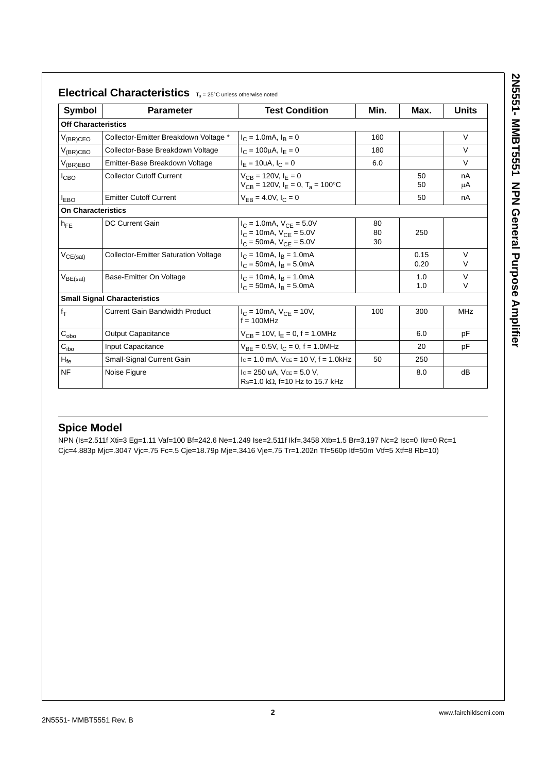| <b>Symbol</b>              | <b>Parameter</b>                            | <b>Test Condition</b>                                                                                                     | Min.           | Max.         | <b>Units</b>     |
|----------------------------|---------------------------------------------|---------------------------------------------------------------------------------------------------------------------------|----------------|--------------|------------------|
| <b>Off Characteristics</b> |                                             |                                                                                                                           |                |              |                  |
| $V_{(BR)CEO}$              | Collector-Emitter Breakdown Voltage *       | $I_C = 1.0 \text{mA}, I_B = 0$                                                                                            | 160            |              | $\vee$           |
| $V_{(BR)CBO}$              | Collector-Base Breakdown Voltage            | $I_C = 100 \mu A$ , $I_F = 0$                                                                                             | 180            |              | V                |
| $V_{(BR)EBO}$              | Emitter-Base Breakdown Voltage              | $I_E = 10uA, I_C = 0$                                                                                                     | 6.0            |              | $\vee$           |
| I <sub>CBO</sub>           | <b>Collector Cutoff Current</b>             | $V_{CB} = 120V, I_F = 0$<br>$V_{CR}$ = 120V, $I_F$ = 0, $T_a$ = 100°C                                                     |                | 50<br>50     | nA<br>μA         |
| <b>LEBO</b>                | <b>Emitter Cutoff Current</b>               | $V_{FB} = 4.0 V, I_C = 0$                                                                                                 |                | 50           | nA               |
| <b>On Characteristics</b>  |                                             |                                                                                                                           |                |              |                  |
| $h_{FE}$                   | DC Current Gain                             | $I_C = 1.0 \text{mA}, V_{CF} = 5.0 V$<br>$I_C = 10 \text{mA}$ , $V_{CF} = 5.0 \text{V}$<br>$I_C = 50$ mA, $V_{CE} = 5.0V$ | 80<br>80<br>30 | 250          |                  |
| $V_{CE(sat)}$              | <b>Collector-Emitter Saturation Voltage</b> | $I_C = 10 \text{mA}, I_B = 1.0 \text{mA}$<br>$I_C = 50 \text{mA}, I_B = 5.0 \text{mA}$                                    |                | 0.15<br>0.20 | $\vee$<br>$\vee$ |
| $V_{BE(sat)}$              | Base-Emitter On Voltage                     | $I_C = 10 \text{mA}, I_B = 1.0 \text{mA}$<br>$I_C = 50 \text{mA}, I_B = 5.0 \text{mA}$                                    |                | 1.0<br>1.0   | $\vee$<br>$\vee$ |
|                            | <b>Small Signal Characteristics</b>         |                                                                                                                           |                |              |                  |
| $f_T$                      | <b>Current Gain Bandwidth Product</b>       | $I_C = 10 \text{mA}$ , $V_{CF} = 10 V$ ,<br>$f = 100$ MHz                                                                 | 100            | 300          | MHz              |
| $C_{\text{obo}}$           | <b>Output Capacitance</b>                   | $V_{CB}$ = 10V, $I_E$ = 0, f = 1.0MHz                                                                                     |                | 6.0          | pF               |
| $C_{\text{ibo}}$           | Input Capacitance                           | $V_{BE} = 0.5V$ , $I_C = 0$ , $f = 1.0MHz$                                                                                |                | 20           | рF               |
| $H_{\text{fe}}$            | Small-Signal Current Gain                   | $lc = 1.0$ mA, $Vce = 10$ V, $f = 1.0$ kHz                                                                                | 50             | 250          |                  |
| <b>NF</b>                  | Noise Figure                                | $lc = 250$ uA, $Vce = 5.0$ V,<br>$Rs=1.0 k\Omega$ , f=10 Hz to 15.7 kHz                                                   |                | 8.0          | dB               |

# **Spice Model**

NPN (Is=2.511f Xti=3 Eg=1.11 Vaf=100 Bf=242.6 Ne=1.249 Ise=2.511f Ikf=.3458 Xtb=1.5 Br=3.197 Nc=2 Isc=0 Ikr=0 Rc=1 Cjc=4.883p Mjc=.3047 Vjc=.75 Fc=.5 Cje=18.79p Mje=.3416 Vje=.75 Tr=1.202n Tf=560p Itf=50m Vtf=5 Xtf=8 Rb=10)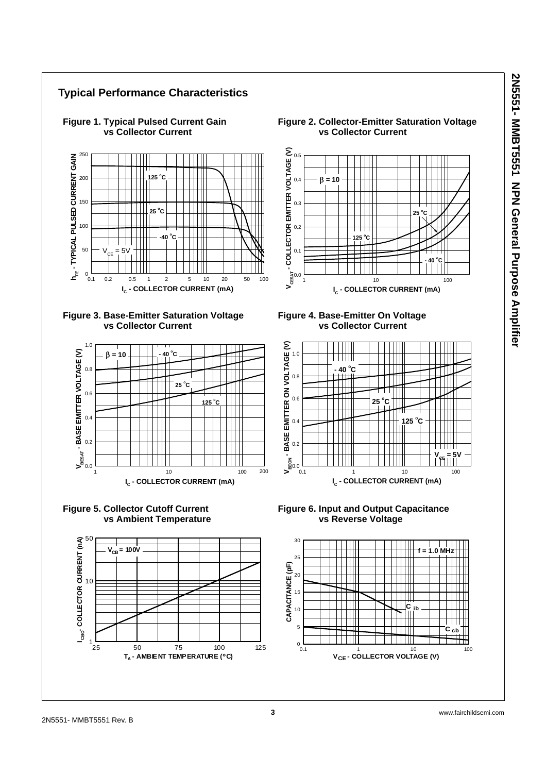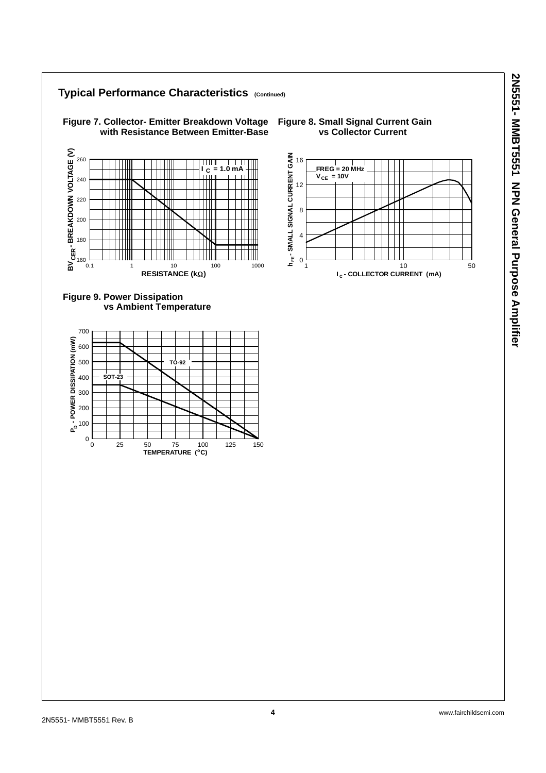### **Typical Performance Characteristics (Continued) Figure 7. Collector- Emitter Breakdown Voltage with Resistance Between Emitter-Base BV - BREAKDOWN VOLTAGE (V)** 16 260 ──── TT  $I_C = 1.0$  mA  $V_{CE} = 10V$ 240 Ш 12 Ш Ш 220 8 200 4 180 **CER**



Ш

160



0.1 1 10 100 1000

**RESISTANCE (kΩ)** 

## **Figure 8. Small Signal Current Gain vs Collector Current**